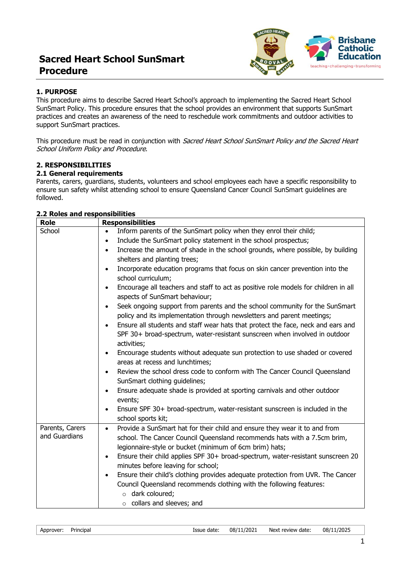# **Sacred Heart School SunSmart Procedure**



## **1. PURPOSE**

This procedure aims to describe Sacred Heart School's approach to implementing the Sacred Heart School SunSmart Policy. This procedure ensures that the school provides an environment that supports SunSmart practices and creates an awareness of the need to reschedule work commitments and outdoor activities to support SunSmart practices.

This procedure must be read in conjunction with Sacred Heart School SunSmart Policy and the Sacred Heart School Uniform Policy and Procedure.

## **2. RESPONSIBILITIES**

## **2.1 General requirements**

Parents, carers, guardians, students, volunteers and school employees each have a specific responsibility to ensure sun safety whilst attending school to ensure Queensland Cancer Council SunSmart guidelines are followed.

#### **2.2 Roles and responsibilities**

| Role            | <b>Responsibilities</b>                                                                                                                                                                    |
|-----------------|--------------------------------------------------------------------------------------------------------------------------------------------------------------------------------------------|
| School          | Inform parents of the SunSmart policy when they enrol their child;                                                                                                                         |
|                 | Include the SunSmart policy statement in the school prospectus;<br>$\bullet$                                                                                                               |
|                 | Increase the amount of shade in the school grounds, where possible, by building<br>$\bullet$                                                                                               |
|                 | shelters and planting trees;                                                                                                                                                               |
|                 | Incorporate education programs that focus on skin cancer prevention into the<br>$\bullet$<br>school curriculum;                                                                            |
|                 | Encourage all teachers and staff to act as positive role models for children in all<br>$\bullet$<br>aspects of SunSmart behaviour;                                                         |
|                 | Seek ongoing support from parents and the school community for the SunSmart<br>$\bullet$<br>policy and its implementation through newsletters and parent meetings;                         |
|                 | Ensure all students and staff wear hats that protect the face, neck and ears and<br>$\bullet$<br>SPF 30+ broad-spectrum, water-resistant sunscreen when involved in outdoor<br>activities; |
|                 | Encourage students without adequate sun protection to use shaded or covered<br>$\bullet$<br>areas at recess and lunchtimes;                                                                |
|                 | Review the school dress code to conform with The Cancer Council Queensland<br>$\bullet$<br>SunSmart clothing guidelines;                                                                   |
|                 | Ensure adequate shade is provided at sporting carnivals and other outdoor<br>$\bullet$<br>events;                                                                                          |
|                 | Ensure SPF 30+ broad-spectrum, water-resistant sunscreen is included in the<br>school sports kit;                                                                                          |
| Parents, Carers | Provide a SunSmart hat for their child and ensure they wear it to and from<br>$\bullet$                                                                                                    |
| and Guardians   | school. The Cancer Council Queensland recommends hats with a 7.5cm brim,                                                                                                                   |
|                 | legionnaire-style or bucket (minimum of 6cm brim) hats;                                                                                                                                    |
|                 | Ensure their child applies SPF 30+ broad-spectrum, water-resistant sunscreen 20<br>$\bullet$                                                                                               |
|                 | minutes before leaving for school;                                                                                                                                                         |
|                 | Ensure their child's clothing provides adequate protection from UVR. The Cancer<br>$\bullet$                                                                                               |
|                 | Council Queensland recommends clothing with the following features:                                                                                                                        |
|                 | $\circ$ dark coloured;                                                                                                                                                                     |
|                 | $\circ$ collars and sleeves; and                                                                                                                                                           |